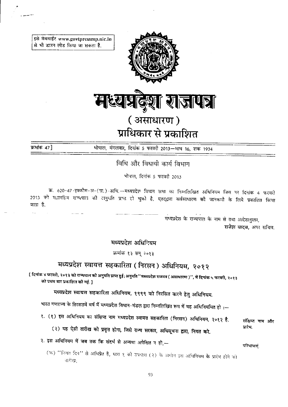इसे वेबसाईट www.govtpressmp.nic.in से भी डाउन लोड किया जा सकता है.



प्राधिकार से प्रकाशित

क्रमांक 47 ]

भोपाल, मंगलवार, दिनांक 5 फरवरी 2013-माघ 16, शक 1934

विधि और विधायी कार्य विभाग

भोपाल, दिनांक 5 फरवरी 2013

क्र. 620-47-इक्कौस-अ-(प्रा.)-अधि.—मध्यप्रदेश विधान सभा का निम्नलिखित अधिनियम जिस पर दिनांक 4 फरवरी 2013 को महामहिम राज्यपाल की अनुमति प्राप्त हो चुको है, एतद्द्वारा सर्वसाधारण की जानकारी के लिये प्रकाशित किया जाता है.

> मध्यप्रदेश के राज्यपाल के नाम से तथा आदेशानुसार, राजेश यादव, अपर सचिव.

मध्यप्रदेश अधिनियम

क्रमांक १३ सन् २०१३

# मध्यप्रदेश स्वायत्त सहकारिता (निरसन) अधिनियम, २०१२

[ दिनांक ४ फरवरी, २०१३ को राज्यपाल की अनुमति प्राप्त हुई; अनुमति ''मध्यप्रदेश राजपत्र ( असाधारण )'', में दिनांक ५ फरवरी, २०१३ को प्रथम बार प्रकाशित की गई. ]

मध्यप्रदेश स्वायत्त सहकारिता अधिनियम, १९९९ को निरसित करने हेतु अधिनियम.

भारत गणराज्य के तिरसठवें वर्ष में मध्यप्रदेश विधान-मंडल द्वारा निम्नलिखित रूप में यह अधिनियमित हो :-

१. (१) इस अधिनियम का संक्षिप्त नाम मध्यप्रदेश स्वायत्त सहकारिता (निरसन) अधिनियम, २०१२ है.

(२) यह ऐसी तारीख को प्रवृत्त होगा, जिसे राज्य सरकार, अधिसूचना द्वारा, नियत करे.

संक्षिप्त नाम और पारंभ.

२. इस अधिनियम में जब तक कि संदर्भ से अन्यथा अपेक्षित न हो,-

परिभाषाएं.

(क) "नियत दिन" से अभिप्रेत है, धारा १ की उपधारा (२) के अधीन इस अधिनियम के प्रारंभ होने को तारीख: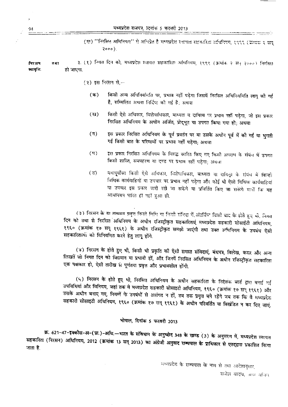(ख) "निरसित अधिनियम" से अभिप्रेत है मध्यप्रदेश स्तागत्त सहकारिता अधिनियम, १९९९ (जन्मंक २ सन  $2000$ ).

३. (१) नियत दिन को, मध्यप्रदेश स्वायत्त सहकारिता अधिनियम, १९९९ (क्रमांक २ सन् २०००) निरसित मिरसम  $7.577$ व्यायुनि. हो जाएगा.

- $(3)$  इस निरसन से.-
	- किसी अन्य अधिनिर्यामति पर, प्रभाव नहीं पड़ेगा जिसमें निरसित अधिनियमिति लागू की गई  $(4)$ है, सम्मिलित अथवा निर्दिप्ट की गई है: अथवा
	- किसी ऐसे अधिकार, विशेषाधिकार, बाध्यता व दायित्व पर प्रभाव नहीं पड़ेगा, जो इस प्रकार  $(\overline{u})$ निरसित अधिनियम के अधीन अर्जित, प्रोद्भूत या उपगत किया गया हो; अथवा
	- इस प्रकार निरसित अधिनियम के पूर्व प्रवर्तन पर या उसके अधीन पूर्व में की गई या भुगती  $(\eta)$ गई किसी बात के परिणामों पर प्रभाव नहीं पड़ेगा; अथवा
	- इस प्रकार निरसित अधिनियम के विरुद्ध कारित किए गए किसी अपराध के संबंध में उपगत  $(\mathbb{F})$ किसी शास्ति, समपहरण या दण्ड पर प्रभाव नहीं पड़ेगा; अथवा
	- यथापूर्वोक्त किसी ऐसे अधिकार, विशेषाधिकार, बाध्यता या दायित्व के संबंध में किन्ही  $(3)$ विधिक कार्यवाहियों या उपचार पर प्रभाव नहीं पड़ेगा और कोई भी ऐसी विधिक कार्यवाहियां या उपचार इस प्रकार जारी रखे जा सकेंगे या प्रविर्तित किए जा सकेंगे मानों कि यह आधानयम पारित ही नहीं हुआ हो.

(३) निरसन के या तत्समय प्रवृत्त किसी निभि या किसी संजिदा में अंतर्निया सिसी बाद के होते हुए भी, नियत दिन को तथा से निरसित अधिनियम के अधीन रजिस्ट्रीकृत सहकारिताएं मध्यप्रदेश सहकारी सोसाईटी अधिनियम, १९६० (क्रमांक १७ सन् १९६१) के अधीन रजिस्ट्रीकृत समझी जाएंगी तथा उक्त अधिनियम के उपबंध ऐसी सहकारिताओं को विनियमित करने हेतु लागू होंगे.

(४) निरसन के होते हुए भी, किसी भी प्रकृति की ऐसी समस्त संविदाएं, बंधपत्र, विलेख, करार और अन्य लिखतें जो नियत दिन को विद्यमान या प्रभावी हों, और जिनमें निरसित अधिनियम के अधीन रजिस्ट्रीकृत सहकारिता एक पक्षकार हो, ऐसी तारीख से पूर्णतया प्रवृत्त और प्रभावशील होंगी.

(५) निरसन के होते हुए भी, निरसित अधिनियम के अधीन सहकारिता के निदेशक बार्ड द्वारा बनाई गई उपविधियां और विनियम, जहां तक वे मध्यप्रदेश सहकारी सोसाइटी अधिनियम, १९६० (क्रमांक १७ सन् १९६१) और उसके अधीन बनाए गए, नियमों के उपबंधों से असंगत न हों, तब तक प्रवृत्त बने रहेंगे जब तक कि वे मध्यप्रदेश सहकारी सोसाइटी अधिनियम, १९६० (क्रमांक १७ सन् १९६१) के अधीन परिवर्तित या विखंडित न कर दिए जाएं.

## भोपाल, दिनांक 5 फरवरी 2013

क्र. 621-47-इक्कीस-अ-(प्रा.)-अधि.-भारत के संविधान के अनुच्छेद 348 के खण्ड (3) के अनुसरण में, मध्यप्रदेश स्वायत सहकारिता (निरसन) अधिनियम, 2012 (क्रमांक 13 सन् 2013) का अंग्रेजी अनुवाद राज्यपाल के प्राधिकार से एतद्द्वारा प्रकाशित किया जाता है.

> मध्यप्रदेश के राज्यपाल के नाम से तथा आदेशानुसार, राजेश यादव, अप सचिन्

मध्यप्रदेश राजपत्र, दिनांक 5 फरवरी 2013

94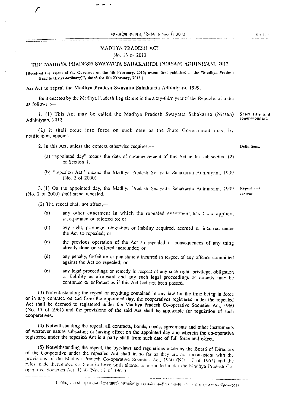मध्यप्रदेश राजपत्र, दिनांक 5 फरवरी 2013

#### No. 13 or 2013

### THE MADHYA PRADESH SWAYATTA SAHAKARITA (NIRSAN) ADHINIYAM. 2012

(Received the assent of the Governor on the 4th February, 2013; assent first published in the "Madhya Pradesh Gazette (Extra-ordinary)", dated the 5th February, 2013.]

#### An Act to repeal the Madhya Pradesh Swayatta Sahakarita Adhiniyani, 1999.

Be it enacted by the Madhya F. adesh Legislature in the sixty-third year of the Republic of India as follows :-

1. (1) This Act may be called the Madhya Pradesh Swayatta Sahakarita (Nirsan) Short title and Adhiniyam, 2012.

(2) It shall come into force on such date as the State Government may, by notification, appoint.

- 2. In this Act, unless the context otherwise requires,--
	- (a) "appointed day" means the date of commencement of this Act under sub-section (2) of Section 1.
	- (b) "repealed Act" means the Madhya Pradesh Swayatta Sahakarita Adhiniyam, 1999 (No. 2 of 2000).

3. (1) On the appointed day, the Madhya Pradesh Swayatta Sahakarita Adhiniyam, 1999 (No. 2 of 2000) shall stand renealed.

 $(2)$  The reneal shall not affect,—

- any other enactment in which the repealed enactment has been applied,  $(a)$ incorporated or referred to; or
- $(b)$ any right, privilege, obligation or liability acquired, accrued or incurred under the Act so repealed; or
- $(c)$ the previous operation of the Act so repealed or consequences of any thing already done or suffered thereunder; or
- any penalty, forfeiture or punishment incurred in respect of any offence committed  $(d)$ against the Act so repealed; or
- any legal proceedings or remedy in respect of any such right, privilege, obligation  $(c)$ or liability as aforesaid and any such legal proceedings or remedy may be continued or enforced as if this Act had not been passed.

(3) Notwithstanding the repeal or anything contained in any law for the time being in force or in any contract, on and from the appointed day, the cooperatives registered under the repealed Act shall be deemed to registered under the Madhya Pradesh Co-operative Societies Act, 1960 (No. 17 of 1961) and the provisions of the said Act shall be applicable for regulation of such cooperatives.

(4) Notwithstanding the repeal, all contracts, bonds, deeds, agreements and other instruments of whatever nature subsisting or having effect on the appointed day and wherein the co-operative registered under the repealed Act is a party shall from such date of full force and effect.

(5) Notwithstanding the repeal, the bye-laws and regulations made by the Board of Directors of the Cooperative under the repealed Act shall in so far as they are not inconsistent with the provisions of the Madhya Pradesh Co-operative Societies Act, 1960 (NO. 17 of 1961) and the rules made thereunder, continue in force until altered or rescinded under the Madhya Pradesh Cooperative Societies Act, 1960 (No. 17 of 1961).

commencement.

Definitions.

Repeal and savings.